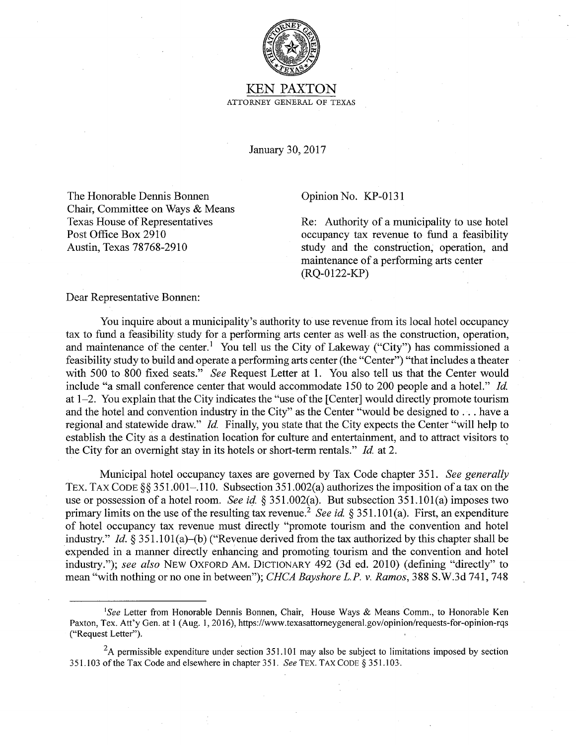

## KEN PAXTON ATTORNEY GENERAL OF TEXAS

January 30, 2017

The Honorable Dennis Bonnen Chair, Committee on Ways & Means Texas House of Representatives Post Office Box 2910 Austin, Texas 78768-2910

## Opinion No. KP-0131

Re: Authority of a municipality to use hotel occupancy tax revenue to fund a feasibility study and the construction; operation, and maintenance of a performing arts center (RQ-0122-KP)

Dear Representative Bonnen:

You inquire about a municipality's authority to use revenue from its local hotel occupancy tax to fund a feasibility study for a performing arts center as well as the construction, operation, and maintenance of the center.<sup>1</sup> You tell us the City of Lakeway ("City") has commissioned a feasibility study to build and operate a performing arts center (the "Center") "that includes a theater with 500 to 800 fixed seats." *See* Request Letter at 1. You also tell us that the Center would include "a small conference center that would accommodate 150 to 200 people and a hotel." *Id*  at 1-2. You explain that the City indicates the "use of the [Center] would directly promote tourism and the hotel and convention industry in the City" as the Center "would be designed to ... have a regional and statewide draw." *Id.* Finally, you state that the City expects the Center "will help to establish the City as a destination location for culture and entertainment, and to attract visitors to the City for an overnight Stay in its hotels or short-term rentals." *Id* at 2.

Municipal hotel occupancy taxes are governed by Tax Code chapter 351. *See generally* TEX. TAX CODE §§ 351.001–.110. Subsection 351.002(a) authorizes the imposition of a tax on the use or possession of a hotel room. *See id.* § 351.002(a). But subsection 351.101(a) imposes two primary limits on the use of the resulting tax revenue.<sup>2</sup> *See id.* § 351.101(a). First, an expenditure of hotel occupancy tax revenue must directly "promote tourism and the convention and hotel industry." *Id.§* 351.lOl(a)-(b) ("Revenue derived from the tax authorized by this chapter shall be expended in a manner directly enhancing and promoting tourism and the convention and hotel industry."); *see also* NEW OXFORD AM. DICTIONARY 492 (3d ed. 2010) (defining "directly" to mean "with nothing or no one in between"); *CHCA Bayshore L.P. v. Ramos,* 388 S.W.3d 741, 748

<sup>1</sup> *See* Letter from Honorable Dennis Bonnen, Chair, House Ways & Means Comm., to Honorable Ken Paxton, Tex. Att'y Gen. at 1 (Aug. 1, 2016), https://www.texasattorneygeneral.gov/opinion/requests-for-opinion-rqs ("Request Letter").

 ${}^{2}$ A permissible expenditure under section 351.101 may also be subject to limitations imposed by section 351.103 of the Tax Code and elsewhere in chapter 351. *See* TEX. TAX CODE § 351.103.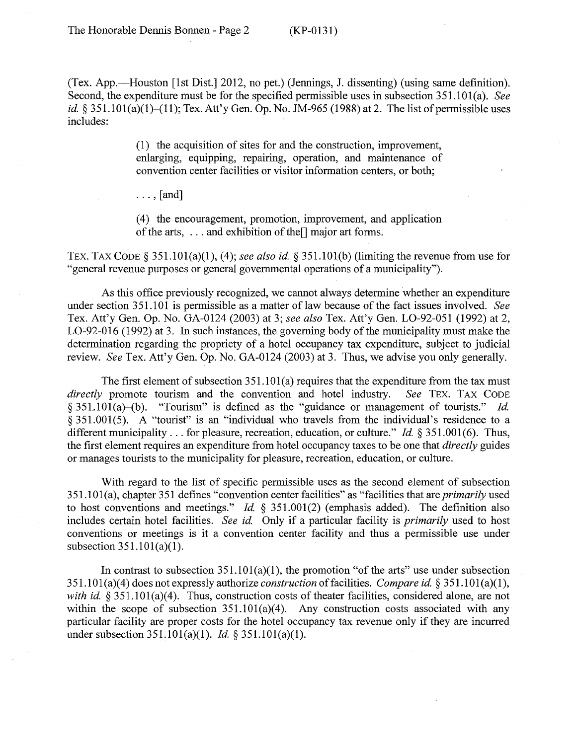(Tex. App.—Houston [1st Dist.] 2012, no pet.) (Jennings, J. dissenting) (using same definition). Second, the expenditure must be for the specified permissible uses in subsection 351.IOI(a). *See id.* § 351.101(a)(1)–(11); Tex. Att'y Gen. Op. No. JM-965 (1988) at 2. The list of permissible uses includes:

> (1) the acquisition of sites for and the construction, improvement, enlarging, equipping, repairing, operation, and maintenance of convention center facilities or visitor information centers, or both;

 $\ldots$ , [and]

(4) the encouragement, promotion, improvement, and application of the arts, ... and exhibition of the[] major art forms.

TEX. TAX CODE§ 351.IOI(a)(l), (4); *see also id.* § 351.IOI(b) (limiting the revenue from use for "general revenue purposes or general governmental operations of a municipality").

As this office previously recognized, we cannot always determine whether an expenditure under section 351.101 is permissible as a matter of law because of the fact issues involved. *See*  Tex. Att'y Gen. Op. No. GA-0124 (2003) at 3; *see also* Tex. Att'y Gen. L0-92-051 (1992) at 2, L0-92-016 (1992) at 3. In such instances, the governing body of the municipality must make the determination regarding the propriety of a hotel occupancy tax expenditure, subject to judicial review. *See* Tex. Att'y Gen. Op. No. GA-0124 (2003) at 3. Thus, we advise you only generally.

The first element of subsection 351.101(a) requires that the expenditure from the tax must promote tourism and the convention and hotel industry. See TEX. TAX CODE *directly* promote tourism and the convention and hotel industry. § 351.101(a)-(b). "Tourism" is defined as the "guidance or management of tourists." *Id.*  $\S$  351.001(5). A "tourist" is an "individual who travels from the individual's residence to a different municipality ... for pleasure, recreation, education, or culture." *Id.* § 351.001(6). Thus, the first element requires an expenditure from hotel occupancy taxes to be one that *directly* guides or manages tourists to the municipality for pleasure, recreation, education, or culture.

With regard to the list of specific permissible uses as the second element of subsection 351.1 Ol(a), chapter 351 defines "convention center facilities" as "facilities that are *primarily* used to host conventions and meetings." *Id.* § 351.001(2) (emphasis added). The definition also includes certain hotel facilities. *See id.* Only if a particular facility is *primarily* used to host conventions or meetings is it a convention center facility and thus a permissible use under subsection  $351.101(a)(1)$ .

In contrast to subsection  $351.101(a)(1)$ , the promotion "of the arts" use under subsection 351.1Ol(a)(4) does not expressly authorize *construction* of facilities. *Compare id.* § 351.1 Ol(a)(l), *with id.* § 351.101(a)(4). Thus, construction costs of theater facilities, considered alone, are not within the scope of subsection  $351.101(a)(4)$ . Any construction costs associated with any particular facility are proper costs for the hotel occupancy tax revenue only if they are incurred under subsection 351.101(a)(1). *Id.* § 351.101(a)(1).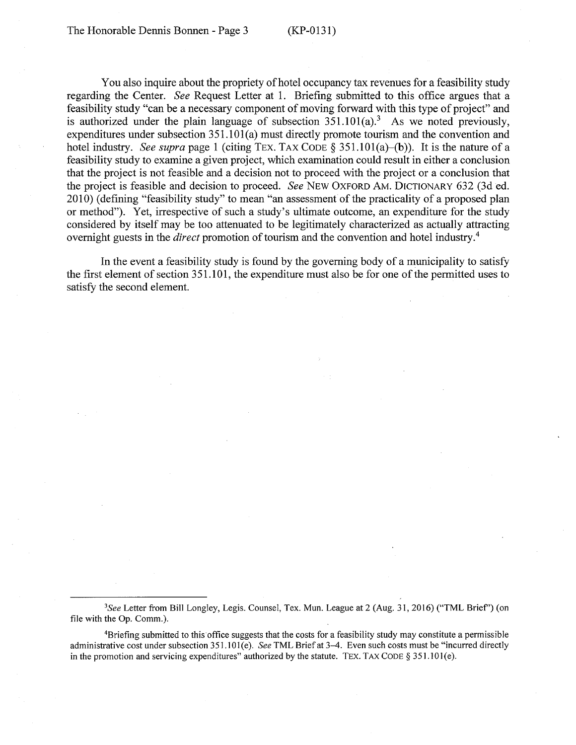You also inquire about the propriety of hotel occupancy tax revenues for a feasibility study regarding the Center. *See* Request Letter at 1. Briefing submitted to this office argues that a feasibility study "can be a necessary component of moving forward with this type of project" and is authorized under the plain language of subsection  $351.101(a)$ .<sup>3</sup> As we noted previously, expenditures under subsection 351.lOl(a) must directly promote tourism and the convention and hotel industry. *See supra* page 1 (citing TEX. TAX CODE § 351.101(a)–(b)). It is the nature of a feasibility study to examine a given project, which examination could result in either a conclusion that the project is not feasible and a decision not to proceed with the project or a conclusion that the project is feasible and decision to proceed. *See* NEW OXFORD AM. DICTIONARY 632 (3d ed. 2010) (defining "feasibility study" to mean "an assessment of the practicality of a proposed plan or method"). Yet, irrespective of such a study's ultimate outcome, an expenditure for the study considered by itself may be too attenuated to be legitimately characterized as actually attracting overnight guests in the *direct* promotion of tourism and the convention and hotel industry.<sup>4</sup>

In the event a feasibility study is found by the governing body of a municipality to satisfy the first element of section 351.101, the expenditure must also be for one of the permitted uses to satisfy the second element.

*3See* Letter from Bill Longley, Legis. Counsel, Tex. Mun. League at 2 (Aug. 31, 2016) ("TML Brief') (on file with the Op. Comm.).

4Briefing submitted to this office suggests that the costs for a feasibility study may constitute a permissible administrative cost under subsection 351.101(e). *See* TML Brief at 3-4. Even such costs must be "incurred directly in the promotion and servicing expenditures" authorized by the statute. TEX. TAX CODE  $\S 351.101(e)$ .